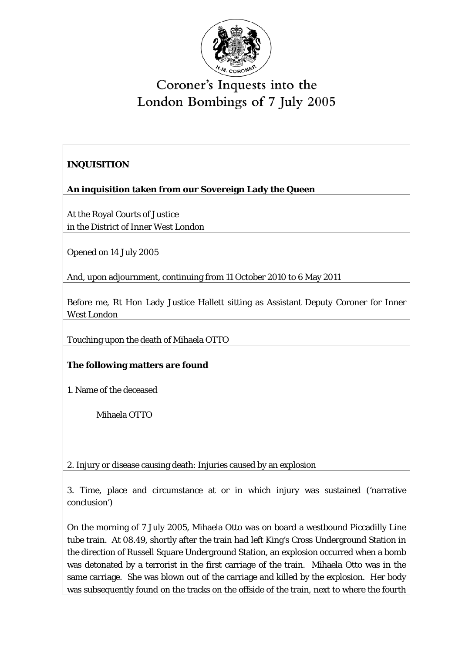

## Coroner's Inquests into the London Bombings of 7 July 2005

## **INQUISITION**

**An inquisition taken from our Sovereign Lady the Queen** 

At the Royal Courts of Justice in the District of Inner West London

Opened on 14 July 2005

And, upon adjournment, continuing from 11 October 2010 to 6 May 2011

Before me, Rt Hon Lady Justice Hallett sitting as Assistant Deputy Coroner for Inner West London

Touching upon the death of Mihaela OTTO

## **The following matters are found**

1. Name of the deceased

Mihaela OTTO

2. Injury or disease causing death: Injuries caused by an explosion

3. Time, place and circumstance at or in which injury was sustained ('narrative conclusion')

 tube train. At 08.49, shortly after the train had left King's Cross Underground Station in the direction of Russell Square Underground Station, an explosion occurred when a bomb On the morning of 7 July 2005, Mihaela Otto was on board a westbound Piccadilly Line was detonated by a terrorist in the first carriage of the train. Mihaela Otto was in the same carriage. She was blown out of the carriage and killed by the explosion. Her body was subsequently found on the tracks on the offside of the train, next to where the fourth